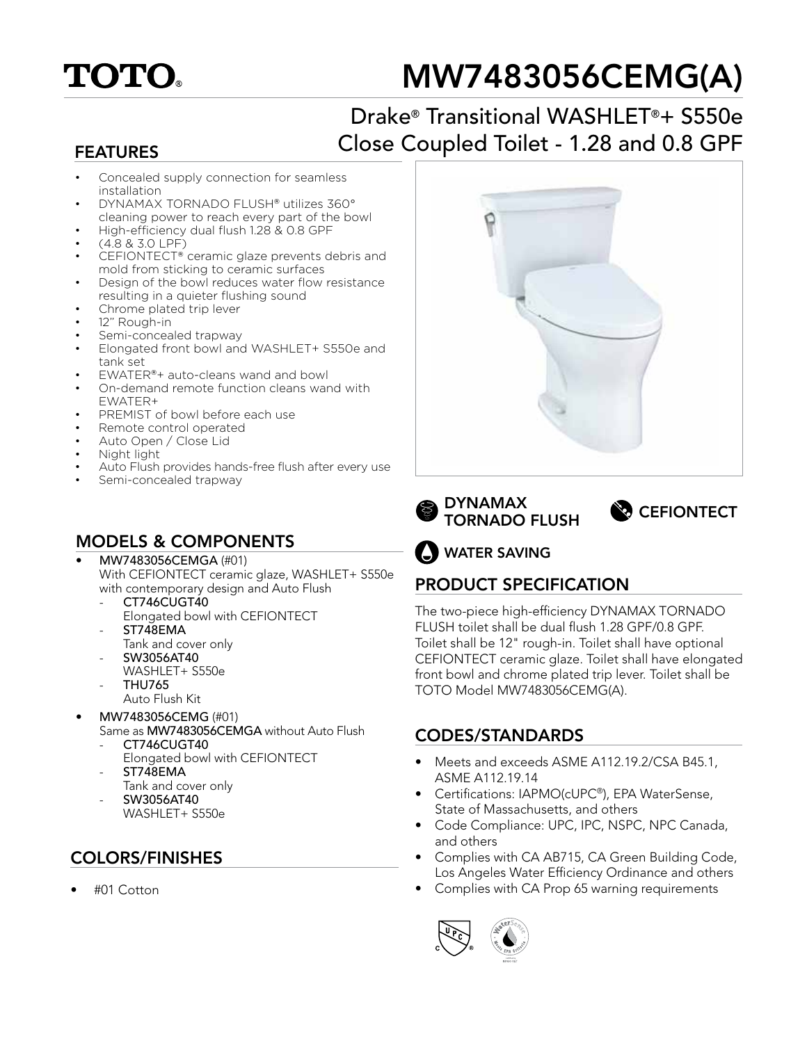

# MW7483056CEMG(A)

## Drake® Transitional WASHLET®+ S550e Close Coupled Toilet - 1.28 and 0.8 GPF

#### FEATURES

- Concealed supply connection for seamless installation
- DYNAMAX TORNADO FLUSH® utilizes 360°
- cleaning power to reach every part of the bowl • High-efficiency dual flush 1.28 & 0.8 GPF
- (4.8 & 3.0 LPF)
- CEFIONTECT® ceramic glaze prevents debris and mold from sticking to ceramic surfaces
- Design of the bowl reduces water flow resistance resulting in a quieter flushing sound
- Chrome plated trip lever
- 12" Rough-in
- Semi-concealed trapway
- Elongated front bowl and WASHLET+ S550e and tank set
- EWATER®+ auto-cleans wand and bowl
- On-demand remote function cleans wand with EWATER+
- PREMIST of bowl before each use
- Remote control operated
- Auto Open / Close Lid
- Night light
- Auto Flush provides hands-free flush after every use
- Semi-concealed trapway

#### MODELS & COMPONENTS

- MW7483056CEMGA (#01) With CEFIONTECT ceramic glaze, WASHLET+ S550e with contemporary design and Auto Flush
	- CT746CUGT40 Elongated bowl with CEFIONTECT ST748EMA
	- Tank and cover only
	- SW3056AT40
	- WASHLET+ S550e
	- THU765
		- Auto Flush Kit
- MW7483056CEMG (#01)
- Same as MW7483056CEMGA without Auto Flush CT746CUGT40
	- Elongated bowl with CEFIONTECT
	- ST748EMA
	- Tank and cover only
	- SW3056AT40 WASHLET+ S550e

## COLORS/FINISHES

• #01 Cotton







WATER SAVING

## PRODUCT SPECIFICATION

The two-piece high-efficiency DYNAMAX TORNADO FLUSH toilet shall be dual flush 1.28 GPF/0.8 GPF. Toilet shall be 12" rough-in. Toilet shall have optional CEFIONTECT ceramic glaze. Toilet shall have elongated front bowl and chrome plated trip lever. Toilet shall be TOTO Model MW7483056CEMG(A).

#### CODES/STANDARDS

- Meets and exceeds ASME A112.19.2/CSA B45.1, ASME A112.19.14
- Certifications: IAPMO(cUPC®), EPA WaterSense, State of Massachusetts, and others
- Code Compliance: UPC, IPC, NSPC, NPC Canada, and others
- Complies with CA AB715, CA Green Building Code, Los Angeles Water Efficiency Ordinance and others
- Complies with CA Prop 65 warning requirements